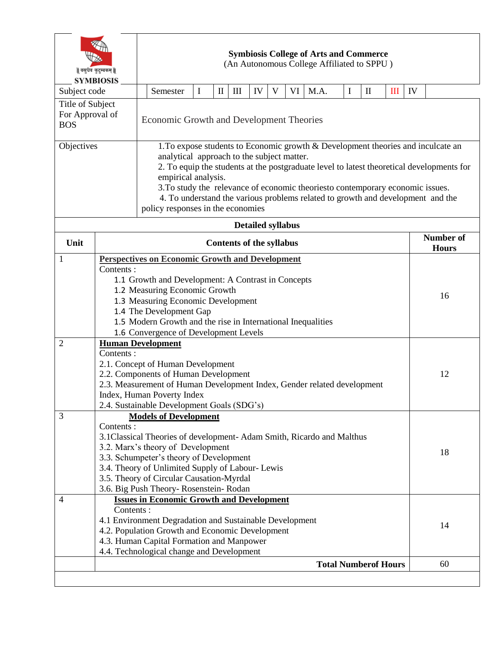| वसुधैव कुटुम्बकम्   <br><b>SYMBIOSIS</b> |                                                              | <b>Symbiosis College of Arts and Commerce</b><br>(An Autonomous College Affiliated to SPPU)                |                                                                                                                                                                                                                                                                                                                                                                                                                                                              |   |              |                    |    |             |    |      |          |                                  |     |    |  |  |
|------------------------------------------|--------------------------------------------------------------|------------------------------------------------------------------------------------------------------------|--------------------------------------------------------------------------------------------------------------------------------------------------------------------------------------------------------------------------------------------------------------------------------------------------------------------------------------------------------------------------------------------------------------------------------------------------------------|---|--------------|--------------------|----|-------------|----|------|----------|----------------------------------|-----|----|--|--|
| Subject code                             |                                                              |                                                                                                            | Semester                                                                                                                                                                                                                                                                                                                                                                                                                                                     | I | $\mathbf{I}$ | $\mathop{\rm III}$ | IV | $\mathbf V$ | VI | M.A. | $\bf{I}$ | $\mathbf{I}$                     | III | IV |  |  |
| Title of Subject                         |                                                              |                                                                                                            |                                                                                                                                                                                                                                                                                                                                                                                                                                                              |   |              |                    |    |             |    |      |          |                                  |     |    |  |  |
| For Approval of<br><b>BOS</b>            |                                                              |                                                                                                            | Economic Growth and Development Theories                                                                                                                                                                                                                                                                                                                                                                                                                     |   |              |                    |    |             |    |      |          |                                  |     |    |  |  |
| Objectives                               |                                                              |                                                                                                            | 1. To expose students to Economic growth & Development theories and inculcate an<br>analytical approach to the subject matter.<br>2. To equip the students at the postgraduate level to latest theoretical developments for<br>empirical analysis.<br>3. To study the relevance of economic theoriesto contemporary economic issues.<br>4. To understand the various problems related to growth and development and the<br>policy responses in the economies |   |              |                    |    |             |    |      |          |                                  |     |    |  |  |
| <b>Detailed syllabus</b>                 |                                                              |                                                                                                            |                                                                                                                                                                                                                                                                                                                                                                                                                                                              |   |              |                    |    |             |    |      |          |                                  |     |    |  |  |
| Unit                                     | <b>Contents of the syllabus</b>                              |                                                                                                            |                                                                                                                                                                                                                                                                                                                                                                                                                                                              |   |              |                    |    |             |    |      |          | <b>Number of</b><br><b>Hours</b> |     |    |  |  |
| $\mathbf{1}$                             |                                                              | <b>Perspectives on Economic Growth and Development</b>                                                     |                                                                                                                                                                                                                                                                                                                                                                                                                                                              |   |              |                    |    |             |    |      |          |                                  |     |    |  |  |
|                                          | Contents:                                                    |                                                                                                            |                                                                                                                                                                                                                                                                                                                                                                                                                                                              |   |              |                    |    |             |    |      |          |                                  |     |    |  |  |
|                                          |                                                              | 1.1 Growth and Development: A Contrast in Concepts                                                         |                                                                                                                                                                                                                                                                                                                                                                                                                                                              |   |              |                    |    |             |    |      |          |                                  |     |    |  |  |
|                                          | 1.2 Measuring Economic Growth                                |                                                                                                            |                                                                                                                                                                                                                                                                                                                                                                                                                                                              |   |              |                    |    |             |    |      |          | 16                               |     |    |  |  |
|                                          | 1.3 Measuring Economic Development                           |                                                                                                            |                                                                                                                                                                                                                                                                                                                                                                                                                                                              |   |              |                    |    |             |    |      |          |                                  |     |    |  |  |
|                                          |                                                              | 1.4 The Development Gap                                                                                    |                                                                                                                                                                                                                                                                                                                                                                                                                                                              |   |              |                    |    |             |    |      |          |                                  |     |    |  |  |
|                                          | 1.5 Modern Growth and the rise in International Inequalities |                                                                                                            |                                                                                                                                                                                                                                                                                                                                                                                                                                                              |   |              |                    |    |             |    |      |          |                                  |     |    |  |  |
| $\overline{2}$                           | 1.6 Convergence of Development Levels                        |                                                                                                            |                                                                                                                                                                                                                                                                                                                                                                                                                                                              |   |              |                    |    |             |    |      |          |                                  |     |    |  |  |
|                                          | <b>Human Development</b><br>Contents:                        |                                                                                                            |                                                                                                                                                                                                                                                                                                                                                                                                                                                              |   |              |                    |    |             |    |      |          |                                  |     |    |  |  |
|                                          |                                                              |                                                                                                            |                                                                                                                                                                                                                                                                                                                                                                                                                                                              |   |              |                    |    |             |    |      |          |                                  |     | 12 |  |  |
|                                          |                                                              | 2.1. Concept of Human Development<br>2.2. Components of Human Development                                  |                                                                                                                                                                                                                                                                                                                                                                                                                                                              |   |              |                    |    |             |    |      |          |                                  |     |    |  |  |
|                                          |                                                              | 2.3. Measurement of Human Development Index, Gender related development                                    |                                                                                                                                                                                                                                                                                                                                                                                                                                                              |   |              |                    |    |             |    |      |          |                                  |     |    |  |  |
|                                          |                                                              | Index, Human Poverty Index                                                                                 |                                                                                                                                                                                                                                                                                                                                                                                                                                                              |   |              |                    |    |             |    |      |          |                                  |     |    |  |  |
|                                          |                                                              | 2.4. Sustainable Development Goals (SDG's)                                                                 |                                                                                                                                                                                                                                                                                                                                                                                                                                                              |   |              |                    |    |             |    |      |          |                                  |     |    |  |  |
| 3                                        | <b>Models of Development</b>                                 |                                                                                                            |                                                                                                                                                                                                                                                                                                                                                                                                                                                              |   |              |                    |    |             |    |      |          |                                  |     |    |  |  |
|                                          | Contents:                                                    |                                                                                                            |                                                                                                                                                                                                                                                                                                                                                                                                                                                              |   |              |                    |    |             |    |      |          |                                  |     |    |  |  |
|                                          |                                                              | 3.1 Classical Theories of development-Adam Smith, Ricardo and Malthus                                      |                                                                                                                                                                                                                                                                                                                                                                                                                                                              |   |              |                    |    |             |    |      |          |                                  |     |    |  |  |
|                                          | 3.2. Marx's theory of Development                            |                                                                                                            |                                                                                                                                                                                                                                                                                                                                                                                                                                                              |   |              |                    |    |             |    |      |          | 18                               |     |    |  |  |
|                                          |                                                              | 3.3. Schumpeter's theory of Development<br>3.4. Theory of Unlimited Supply of Labour- Lewis                |                                                                                                                                                                                                                                                                                                                                                                                                                                                              |   |              |                    |    |             |    |      |          |                                  |     |    |  |  |
|                                          |                                                              |                                                                                                            |                                                                                                                                                                                                                                                                                                                                                                                                                                                              |   |              |                    |    |             |    |      |          |                                  |     |    |  |  |
|                                          |                                                              | 3.5. Theory of Circular Causation-Myrdal                                                                   |                                                                                                                                                                                                                                                                                                                                                                                                                                                              |   |              |                    |    |             |    |      |          |                                  |     |    |  |  |
|                                          |                                                              | 3.6. Big Push Theory- Rosenstein- Rodan                                                                    |                                                                                                                                                                                                                                                                                                                                                                                                                                                              |   |              |                    |    |             |    |      |          |                                  |     |    |  |  |
| 4                                        | Contents:                                                    | <b>Issues in Economic Growth and Development</b>                                                           |                                                                                                                                                                                                                                                                                                                                                                                                                                                              |   |              |                    |    |             |    |      |          |                                  |     |    |  |  |
|                                          |                                                              |                                                                                                            |                                                                                                                                                                                                                                                                                                                                                                                                                                                              |   |              |                    |    |             |    |      |          |                                  |     |    |  |  |
|                                          |                                                              | 4.1 Environment Degradation and Sustainable Development<br>4.2. Population Growth and Economic Development |                                                                                                                                                                                                                                                                                                                                                                                                                                                              |   |              |                    |    |             |    |      |          |                                  |     | 14 |  |  |
|                                          |                                                              | 4.3. Human Capital Formation and Manpower                                                                  |                                                                                                                                                                                                                                                                                                                                                                                                                                                              |   |              |                    |    |             |    |      |          |                                  |     |    |  |  |
|                                          |                                                              | 4.4. Technological change and Development                                                                  |                                                                                                                                                                                                                                                                                                                                                                                                                                                              |   |              |                    |    |             |    |      |          |                                  |     |    |  |  |
|                                          | <b>Total Numberof Hours</b>                                  |                                                                                                            |                                                                                                                                                                                                                                                                                                                                                                                                                                                              |   |              |                    |    |             |    |      |          |                                  |     | 60 |  |  |
|                                          |                                                              |                                                                                                            |                                                                                                                                                                                                                                                                                                                                                                                                                                                              |   |              |                    |    |             |    |      |          |                                  |     |    |  |  |